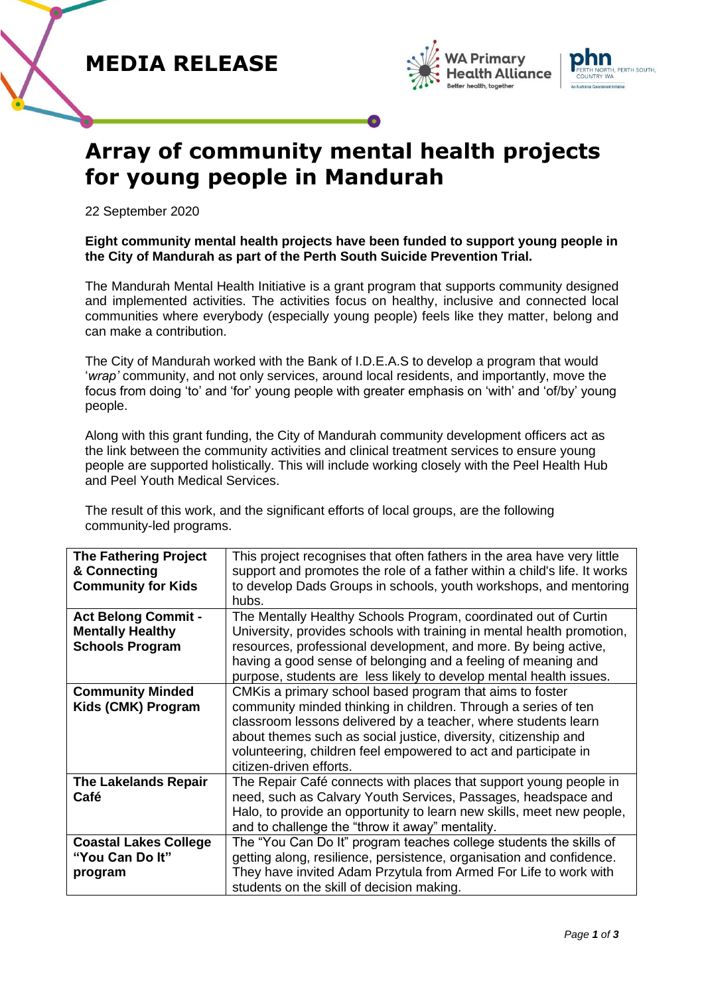





# **Array of community mental health projects for young people in Mandurah**

22 September 2020

## **Eight community mental health projects have been funded to support young people in the City of Mandurah as part of the Perth South Suicide Prevention Trial.**

The Mandurah Mental Health Initiative is a grant program that supports community designed and implemented activities. The activities focus on healthy, inclusive and connected local communities where everybody (especially young people) feels like they matter, belong and can make a contribution.

The City of Mandurah worked with the Bank of I.D.E.A.S to develop a program that would '*wrap'* community, and not only services, around local residents, and importantly, move the focus from doing 'to' and 'for' young people with greater emphasis on 'with' and 'of/by' young people.

Along with this grant funding, the City of Mandurah community development officers act as the link between the community activities and clinical treatment services to ensure young people are supported holistically. This will include working closely with the Peel Health Hub and Peel Youth Medical Services.

The result of this work, and the significant efforts of local groups, are the following community-led programs.

| <b>The Fathering Project</b><br>& Connecting<br><b>Community for Kids</b>       | This project recognises that often fathers in the area have very little<br>support and promotes the role of a father within a child's life. It works<br>to develop Dads Groups in schools, youth workshops, and mentoring<br>hubs.                                                                                                                             |
|---------------------------------------------------------------------------------|----------------------------------------------------------------------------------------------------------------------------------------------------------------------------------------------------------------------------------------------------------------------------------------------------------------------------------------------------------------|
| <b>Act Belong Commit -</b><br><b>Mentally Healthy</b><br><b>Schools Program</b> | The Mentally Healthy Schools Program, coordinated out of Curtin<br>University, provides schools with training in mental health promotion,<br>resources, professional development, and more. By being active,<br>having a good sense of belonging and a feeling of meaning and<br>purpose, students are less likely to develop mental health issues.            |
| <b>Community Minded</b><br>Kids (CMK) Program                                   | CMK is a primary school based program that aims to foster<br>community minded thinking in children. Through a series of ten<br>classroom lessons delivered by a teacher, where students learn<br>about themes such as social justice, diversity, citizenship and<br>volunteering, children feel empowered to act and participate in<br>citizen-driven efforts. |
| <b>The Lakelands Repair</b><br>Café                                             | The Repair Café connects with places that support young people in<br>need, such as Calvary Youth Services, Passages, headspace and<br>Halo, to provide an opportunity to learn new skills, meet new people,<br>and to challenge the "throw it away" mentality.                                                                                                 |
| <b>Coastal Lakes College</b><br>"You Can Do It"<br>program                      | The "You Can Do It" program teaches college students the skills of<br>getting along, resilience, persistence, organisation and confidence.<br>They have invited Adam Przytula from Armed For Life to work with<br>students on the skill of decision making.                                                                                                    |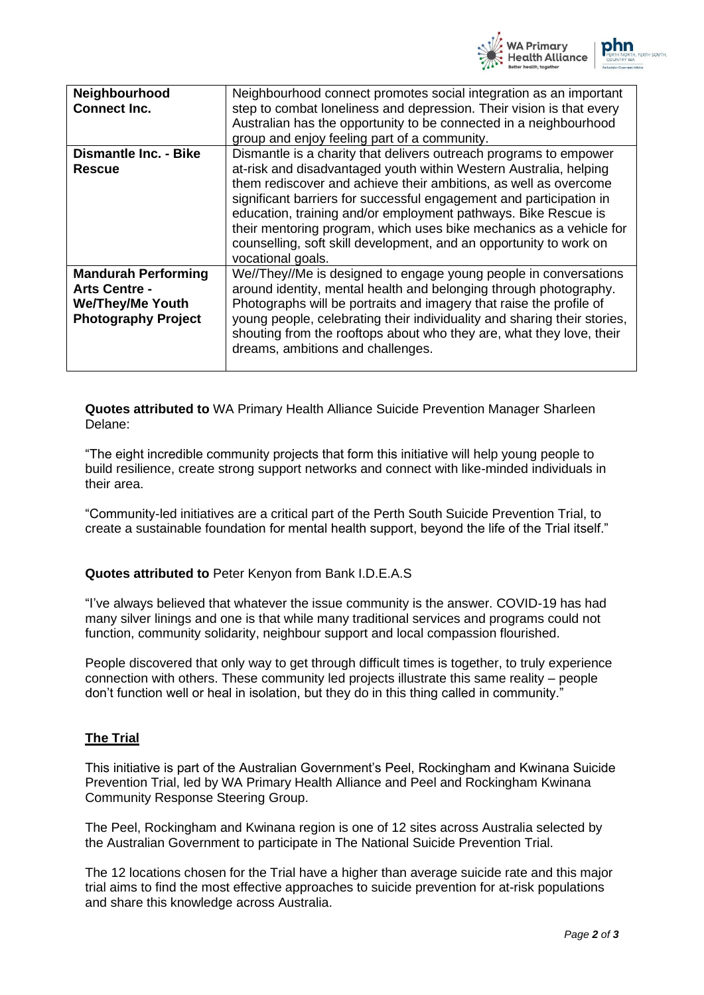

| Neighbourhood<br><b>Connect Inc.</b>                                                                        | Neighbourhood connect promotes social integration as an important<br>step to combat loneliness and depression. Their vision is that every<br>Australian has the opportunity to be connected in a neighbourhood<br>group and enjoy feeling part of a community.                                                                                                                                        |
|-------------------------------------------------------------------------------------------------------------|-------------------------------------------------------------------------------------------------------------------------------------------------------------------------------------------------------------------------------------------------------------------------------------------------------------------------------------------------------------------------------------------------------|
| <b>Dismantle Inc. - Bike</b><br><b>Rescue</b>                                                               | Dismantle is a charity that delivers outreach programs to empower<br>at-risk and disadvantaged youth within Western Australia, helping<br>them rediscover and achieve their ambitions, as well as overcome<br>significant barriers for successful engagement and participation in                                                                                                                     |
|                                                                                                             | education, training and/or employment pathways. Bike Rescue is<br>their mentoring program, which uses bike mechanics as a vehicle for<br>counselling, soft skill development, and an opportunity to work on<br>vocational goals.                                                                                                                                                                      |
| <b>Mandurah Performing</b><br><b>Arts Centre -</b><br><b>We/They/Me Youth</b><br><b>Photography Project</b> | We//They//Me is designed to engage young people in conversations<br>around identity, mental health and belonging through photography.<br>Photographs will be portraits and imagery that raise the profile of<br>young people, celebrating their individuality and sharing their stories,<br>shouting from the rooftops about who they are, what they love, their<br>dreams, ambitions and challenges. |

**Quotes attributed to** WA Primary Health Alliance Suicide Prevention Manager Sharleen Delane:

"The eight incredible community projects that form this initiative will help young people to build resilience, create strong support networks and connect with like-minded individuals in their area.

"Community-led initiatives are a critical part of the Perth South Suicide Prevention Trial, to create a sustainable foundation for mental health support, beyond the life of the Trial itself."

## **Quotes attributed to** Peter Kenyon from Bank I.D.E.A.S

"I've always believed that whatever the issue community is the answer. COVID-19 has had many silver linings and one is that while many traditional services and programs could not function, community solidarity, neighbour support and local compassion flourished.

People discovered that only way to get through difficult times is together, to truly experience connection with others. These community led projects illustrate this same reality – people don't function well or heal in isolation, but they do in this thing called in community."

### **The Trial**

This initiative is part of the Australian Government's Peel, Rockingham and Kwinana Suicide Prevention Trial, led by WA Primary Health Alliance and Peel and Rockingham Kwinana Community Response Steering Group.

The Peel, Rockingham and Kwinana region is one of 12 sites across Australia selected by the Australian Government to participate in The National Suicide Prevention Trial.

The 12 locations chosen for the Trial have a higher than average suicide rate and this major trial aims to find the most effective approaches to suicide prevention for at-risk populations and share this knowledge across Australia.